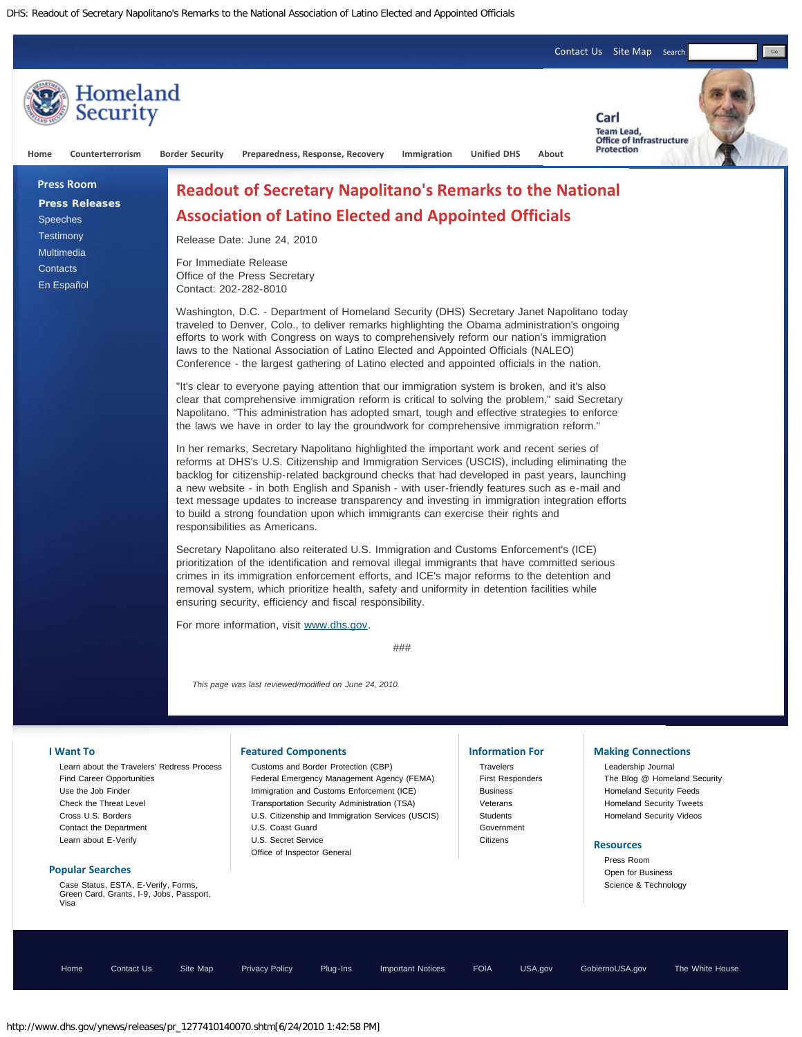DHS: Readout of Secretary Napolitano's Remarks to the National Association of Latino Elected and Appointed Officials



[Home](http://www.dhs.gov/) [Contact Us](http://www.dhs.gov/xutil/contactus.shtm) [Site Map](http://www.dhs.gov/xutil/sitemap.shtm) [Privacy Policy](http://www.dhs.gov/xutil/gc_1157139158971.shtm) [Plug-Ins](http://www.dhs.gov/xutil/gc_1249395653235.shtm) [Important Notices](http://www.dhs.gov/xutil/notices.shtm) [FOIA](http://www.dhs.gov/xfoia/editorial_0579.shtm) [USA.gov](http://www.usa.gov/) [GobiernoUSA.gov](http://www.gobiernousa.gov/) [The White House](http://www.whitehouse.gov/)

http://www.dhs.gov/ynews/releases/pr\_1277410140070.shtm[6/24/2010 1:42:58 PM]